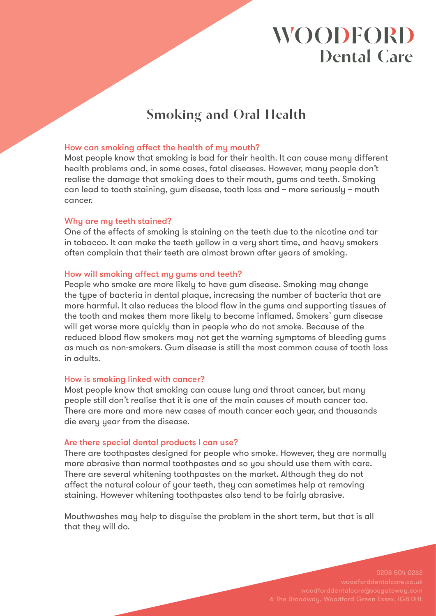# **WOODFORD Dental Care**

## **Smoking and Oral Health**

### How can smoking affect the health of my mouth?

Most people know that smoking is bad for their health. It can cause many different health problems and, in some cases, fatal diseases. However, many people don't realise the damage that smoking does to their mouth, gums and teeth. Smoking can lead to tooth staining, gum disease, tooth loss and – more seriously – mouth cancer.

### Why are my teeth stained?

One of the effects of smoking is staining on the teeth due to the nicotine and tar in tobacco. It can make the teeth yellow in a very short time, and heavy smokers often complain that their teeth are almost brown after years of smoking.

#### How will smoking affect my gums and teeth?

People who smoke are more likely to have gum disease. Smoking may change the type of bacteria in dental plaque, increasing the number of bacteria that are more harmful. It also reduces the blood flow in the gums and supporting tissues of the tooth and makes them more likely to become inflamed. Smokers' gum disease will get worse more quickly than in people who do not smoke. Because of the reduced blood flow smokers may not get the warning symptoms of bleeding gums as much as non-smokers. Gum disease is still the most common cause of tooth loss in adults.

### How is smoking linked with cancer?

Most people know that smoking can cause lung and throat cancer, but many people still don't realise that it is one of the main causes of mouth cancer too. There are more and more new cases of mouth cancer each year, and thousands die every year from the disease.

#### Are there special dental products I can use?

There are toothpastes designed for people who smoke. However, they are normally more abrasive than normal toothpastes and so you should use them with care. There are several whitening toothpastes on the market. Although they do not affect the natural colour of your teeth, they can sometimes help at removing staining. However whitening toothpastes also tend to be fairly abrasive.

Mouthwashes may help to disguise the problem in the short term, but that is all that they will do.